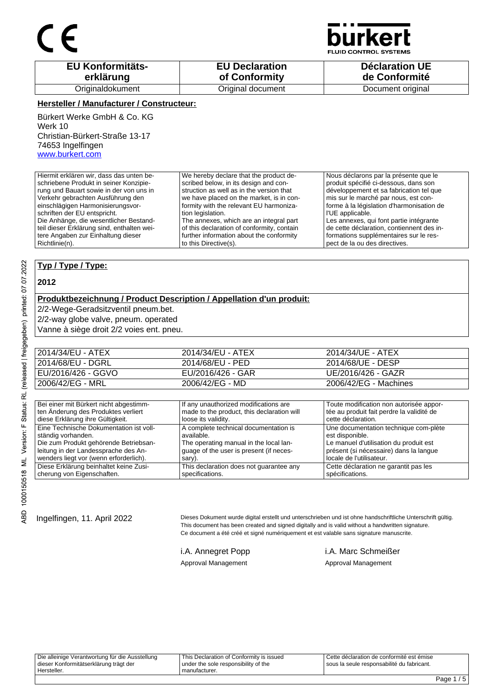

**JID CONTROL SYSTEMS** 

| <b>EU Konformitäts-</b> | <b>EU Declaration</b> | <b>Déclaration UE</b> |
|-------------------------|-----------------------|-----------------------|
| erklärung               | of Conformity         | de Conformité         |
| Originaldokument        | Original document     | Document original     |

#### **Hersteller / Manufacturer / Constructeur:**

Bürkert Werke GmbH & Co. KG Werk 10 Christian-Bürkert-Straße 13-17 74653 Ingelfingen www.burkert.com

Hiermit erklären wir, dass das unten beschriebene Produkt in seiner Konzipierung und Bauart sowie in der von uns in Verkehr gebrachten Ausführung den einschlägigen Harmonisierungsvorschriften der EU entspricht. Die Anhänge, die wesentlicher Bestandteil dieser Erklärung sind, enthalten weitere Angaben zur Einhaltung dieser Richtlinie(n). We hereby declare that the product described below, in its design and construction as well as in the version that we have placed on the market, is in conformity with the relevant EU harmonization legislation. The annexes, which are an integral part of this declaration of conformity, contain further information about the conformity to this Directive(s). Nous déclarons par la présente que le produit spécifié ci-dessous, dans son développement et sa fabrication tel que mis sur le marché par nous, est conforme à la législation d'harmonisation de l'UE applicable. Les annexes, qui font partie intégrante de cette déclaration, contiennent des informations supplémentaires sur le respect de la ou des directives.

#### **Typ / Type / Type:**

#### **2012**

### **Produktbezeichnung / Product Description / Appellation d'un produit:**

2/2-Wege-Geradsitzventil pneum.bet.

2/2-way globe valve, pneum. operated

Vanne à siège droit 2/2 voies ent. pneu.

| 2014/34/EU - ATEX  | 2014/34/EU - ATEX | 2014/34/UE - ATEX     |
|--------------------|-------------------|-----------------------|
| 2014/68/EU - DGRL  | 2014/68/EU - PED  | 2014/68/UE - DESP     |
| EU/2016/426 - GGVO | EU/2016/426 - GAR | UE/2016/426 - GAZR    |
| 2006/42/EG - MRL   | 2006/42/EG - MD   | 2006/42/EG - Machines |

| Bei einer mit Bürkert nicht abgestimm-  | If any unauthorized modifications are      | Toute modification non autorisée appor-   |
|-----------------------------------------|--------------------------------------------|-------------------------------------------|
| ten Änderung des Produktes verliert     | made to the product, this declaration will | tée au produit fait perdre la validité de |
| diese Erklärung ihre Gültigkeit.        | loose its validity.                        | cette déclaration.                        |
| Eine Technische Dokumentation ist voll- | A complete technical documentation is      | Une documentation technique com-plète     |
| ständig vorhanden.                      | available.                                 | est disponible.                           |
| Die zum Produkt gehörende Betriebsan-   | The operating manual in the local lan-     | Le manuel d'utilisation du produit est    |
| leitung in der Landessprache des An-    | guage of the user is present (if neces-    | présent (si nécessaire) dans la langue    |
| wenders liegt vor (wenn erforderlich).  | sary).                                     | locale de l'utilisateur.                  |
| Diese Erklärung beinhaltet keine Zusi-  | This declaration does not guarantee any    | Cette déclaration ne garantit pas les     |
| cherung von Eigenschaften.              | specifications.                            | spécifications.                           |

Ingelfingen, 11. April 2022 Dieses Dokument wurde digital erstellt und unterschrieben und ist ohne handschriftliche Unterschrift gültig. This document has been created and signed digitally and is valid without a handwritten signature. Ce document a été créé et signé numériquement et est valable sans signature manuscrite.

i.A. Annegret Popp i.A. Marc Schmeißer Approval Management Approval Management

Die alleinige Verantwortung für die Ausstellung dieser Konformitätserklärung trägt der Hersteller. This Declaration of Conformity is issued under the sole responsibility of the manufacturer. Cette déclaration de conformité est émise sous la seule responsabilité du fabricant.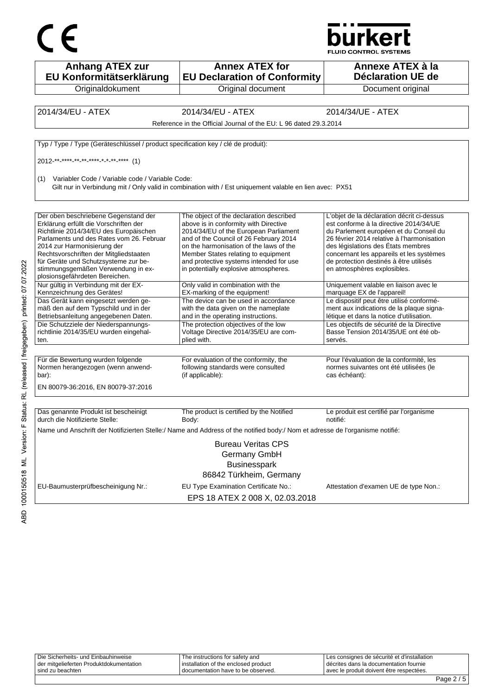



| <b>Anhang ATEX zur</b><br>EU Konformitätserklärung                                                                                                                                                                                                                                                                                                            | <b>Annex ATEX for</b><br><b>EU Declaration of Conformity</b>                                                                                                                                                                                                                                                                              | Annexe ATEX à la<br>Déclaration UE de                                                                                                                                                                                                                                                                                                   |
|---------------------------------------------------------------------------------------------------------------------------------------------------------------------------------------------------------------------------------------------------------------------------------------------------------------------------------------------------------------|-------------------------------------------------------------------------------------------------------------------------------------------------------------------------------------------------------------------------------------------------------------------------------------------------------------------------------------------|-----------------------------------------------------------------------------------------------------------------------------------------------------------------------------------------------------------------------------------------------------------------------------------------------------------------------------------------|
| Originaldokument                                                                                                                                                                                                                                                                                                                                              | Original document                                                                                                                                                                                                                                                                                                                         | Document original                                                                                                                                                                                                                                                                                                                       |
|                                                                                                                                                                                                                                                                                                                                                               |                                                                                                                                                                                                                                                                                                                                           |                                                                                                                                                                                                                                                                                                                                         |
| 2014/34/EU - ATEX                                                                                                                                                                                                                                                                                                                                             | 2014/34/EU - ATEX                                                                                                                                                                                                                                                                                                                         | 2014/34/UE - ATEX                                                                                                                                                                                                                                                                                                                       |
|                                                                                                                                                                                                                                                                                                                                                               | Reference in the Official Journal of the EU: L 96 dated 29.3.2014                                                                                                                                                                                                                                                                         |                                                                                                                                                                                                                                                                                                                                         |
| Typ / Type / Type (Geräteschlüssel / product specification key / clé de produit):                                                                                                                                                                                                                                                                             |                                                                                                                                                                                                                                                                                                                                           |                                                                                                                                                                                                                                                                                                                                         |
| 2012 ** **** ** ** **** * * ** **** (1)                                                                                                                                                                                                                                                                                                                       |                                                                                                                                                                                                                                                                                                                                           |                                                                                                                                                                                                                                                                                                                                         |
| Variabler Code / Variable code / Variable Code:<br>(1)                                                                                                                                                                                                                                                                                                        | Gilt nur in Verbindung mit / Only valid in combination with / Est uniquement valable en lien avec: PX51                                                                                                                                                                                                                                   |                                                                                                                                                                                                                                                                                                                                         |
| Der oben beschriebene Gegenstand der<br>Erklärung erfüllt die Vorschriften der<br>Richtlinie 2014/34/EU des Europäischen<br>Parlaments und des Rates vom 26. Februar<br>2014 zur Harmonisierung der<br>Rechtsvorschriften der Mitgliedstaaten<br>für Geräte und Schutzsysteme zur be-<br>stimmungsgemäßen Verwendung in ex-<br>plosionsgefährdeten Bereichen. | The object of the declaration described<br>above is in conformity with Directive<br>2014/34/EU of the European Parliament<br>and of the Council of 26 February 2014<br>on the harmonisation of the laws of the<br>Member States relating to equipment<br>and protective systems intended for use<br>in potentially explosive atmospheres. | L'objet de la déclaration décrit ci-dessus<br>est conforme à la directive 2014/34/UE<br>du Parlement européen et du Conseil du<br>26 février 2014 relative à l'harmonisation<br>des législations des États membres<br>concernant les appareils et les systèmes<br>de protection destinés à être utilisés<br>en atmosphères explosibles. |
| Nur gültig in Verbindung mit der EX-<br>Kennzeichnung des Gerätes!                                                                                                                                                                                                                                                                                            | Only valid in combination with the<br>EX-marking of the equipment!                                                                                                                                                                                                                                                                        | Uniquement valable en liaison avec le<br>marquage EX de l'appareil!                                                                                                                                                                                                                                                                     |
| Das Gerät kann eingesetzt werden ge-<br>mäß den auf dem Typschild und in der<br>Betriebsanleitung angegebenen Daten.                                                                                                                                                                                                                                          | The device can be used in accordance<br>with the data given on the nameplate<br>and in the operating instructions.                                                                                                                                                                                                                        | Le dispositif peut être utilisé conformé-<br>ment aux indications de la plaque signa-<br>létique et dans la notice d'utilisation.                                                                                                                                                                                                       |
| Die Schutzziele der Niederspannungs-<br>richtlinie 2014/35/EU wurden eingehal-<br>ten.                                                                                                                                                                                                                                                                        | The protection objectives of the low<br>Voltage Directive 2014/35/EU are com-<br>plied with.                                                                                                                                                                                                                                              | Les objectifs de sécurité de la Directive<br>Basse Tension 2014/35/UE ont été ob-<br>servés.                                                                                                                                                                                                                                            |
| Für die Bewertung wurden folgende<br>Normen herangezogen (wenn anwend-<br>bar):<br>EN 80079-36:2016, EN 80079-37:2016                                                                                                                                                                                                                                         | For evaluation of the conformity, the<br>following standards were consulted<br>(if applicable):                                                                                                                                                                                                                                           | Pour l'évaluation de la conformité, les<br>normes suivantes ont été utilisées (le<br>cas échéant):                                                                                                                                                                                                                                      |
|                                                                                                                                                                                                                                                                                                                                                               |                                                                                                                                                                                                                                                                                                                                           |                                                                                                                                                                                                                                                                                                                                         |
| Das genannte Produkt ist bescheinigt<br>durch die Notifizierte Stelle:                                                                                                                                                                                                                                                                                        | The product is certified by the Notified<br>Body:                                                                                                                                                                                                                                                                                         | Le produit est certifié par l'organisme<br>notifié:                                                                                                                                                                                                                                                                                     |
|                                                                                                                                                                                                                                                                                                                                                               | Name und Anschrift der Notifizierten Stelle:/ Name and Address of the notified body:/ Nom et adresse de l'organisme notifié:                                                                                                                                                                                                              |                                                                                                                                                                                                                                                                                                                                         |
|                                                                                                                                                                                                                                                                                                                                                               | <b>Bureau Veritas CPS</b><br>Germany GmbH<br><b>Businesspark</b><br>86842 Türkheim, Germany                                                                                                                                                                                                                                               |                                                                                                                                                                                                                                                                                                                                         |
| EU-Baumusterprüfbescheinigung Nr.:                                                                                                                                                                                                                                                                                                                            | EU Type Examination Certificate No.:<br>EPS 18 ATEX 2 008 X, 02.03.2018                                                                                                                                                                                                                                                                   | Attestation d'examen UE de type Non.:                                                                                                                                                                                                                                                                                                   |

|                                         |                                      |                                               | - |  |
|-----------------------------------------|--------------------------------------|-----------------------------------------------|---|--|
| l sind zu beachten                      | I documentation have to be observed. | l avec le produit doivent être respectées.    |   |  |
| der mitgelieferten Produktdokumentation | installation of the enclosed product | l décrites dans la documentation fournie      |   |  |
| Die Sicherheits- und Einbauhinweise     | The instructions for safety and      | I Les consignes de sécurité et d'installation |   |  |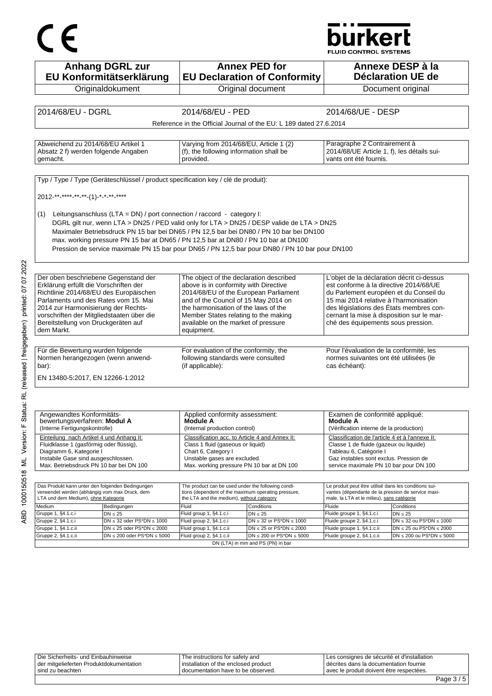# $C \in$

## **burkert**

**FLUID CONTROL SYSTEMS** 

| <b>Anhang DGRL zur</b><br>EU Konformitätserklärung                                                                                                                                                                                                                                                        | <b>Annex PED for</b><br><b>EU Declaration of Conformity</b>                                                                                                                                                                                                                                                                                                                    | Annexe DESP à la<br><b>Déclaration UE de</b>                                                                                                                                                                                                                                                           |  |
|-----------------------------------------------------------------------------------------------------------------------------------------------------------------------------------------------------------------------------------------------------------------------------------------------------------|--------------------------------------------------------------------------------------------------------------------------------------------------------------------------------------------------------------------------------------------------------------------------------------------------------------------------------------------------------------------------------|--------------------------------------------------------------------------------------------------------------------------------------------------------------------------------------------------------------------------------------------------------------------------------------------------------|--|
| Originaldokument                                                                                                                                                                                                                                                                                          | Original document                                                                                                                                                                                                                                                                                                                                                              | Document original                                                                                                                                                                                                                                                                                      |  |
|                                                                                                                                                                                                                                                                                                           |                                                                                                                                                                                                                                                                                                                                                                                |                                                                                                                                                                                                                                                                                                        |  |
| 2014/68/EU - DGRL                                                                                                                                                                                                                                                                                         | 2014/68/EU - PED                                                                                                                                                                                                                                                                                                                                                               | 2014/68/UE - DESP                                                                                                                                                                                                                                                                                      |  |
|                                                                                                                                                                                                                                                                                                           | Reference in the Official Journal of the EU: L 189 dated 27.6.2014                                                                                                                                                                                                                                                                                                             |                                                                                                                                                                                                                                                                                                        |  |
| Abweichend zu 2014/68/EU Artikel 1<br>Absatz 2 f) werden folgende Angaben<br>gemacht.                                                                                                                                                                                                                     | Varying from 2014/68/EU, Article 1 (2)<br>(f), the following information shall be<br>provided.                                                                                                                                                                                                                                                                                 | Paragraphe 2 Contrairement à<br>2014/68/UE Article 1, f), les détails sui-<br>vants ont été fournis.                                                                                                                                                                                                   |  |
| Typ / Type / Type (Geräteschlüssel / product specification key / clé de produit):<br>2012-**-****-**-**-(1)-*-*-**-****                                                                                                                                                                                   |                                                                                                                                                                                                                                                                                                                                                                                |                                                                                                                                                                                                                                                                                                        |  |
| Leitungsanschluss (LTA = DN) / port connection / raccord - category I:<br>(1)                                                                                                                                                                                                                             | DGRL gilt nur, wenn LTA > DN25 / PED valid only for LTA > DN25 / DESP valide de LTA > DN25<br>Maximaler Betriebsdruck PN 15 bar bei DN65 / PN 12,5 bar bei DN80 / PN 10 bar bei DN100<br>max. working pressure PN 15 bar at DN65 / PN 12,5 bar at DN80 / PN 10 bar at DN100<br>Pression de service maximale PN 15 bar pour DN65 / PN 12,5 bar pour DN80 / PN 10 bar pour DN100 |                                                                                                                                                                                                                                                                                                        |  |
| Der oben beschriebene Gegenstand der<br>Erklärung erfüllt die Vorschriften der<br>Richtlinie 2014/68/EU des Europäischen<br>Parlaments und des Rates vom 15. Mai<br>2014 zur Harmonisierung der Rechts-<br>vorschriften der Mitgliedstaaten über die<br>Bereitstellung von Druckgeräten auf<br>dem Markt. | The object of the declaration described<br>above is in conformity with Directive<br>2014/68/EU of the European Parliament<br>and of the Council of 15 May 2014 on<br>the harmonisation of the laws of the<br>Member States relating to the making<br>available on the market of pressure<br>equipment.                                                                         | L'objet de la déclaration décrit ci-dessus<br>est conforme à la directive 2014/68/UE<br>du Parlement européen et du Conseil du<br>15 mai 2014 relative à l'harmonisation<br>des législations des États membres con-<br>cernant la mise à disposition sur le mar-<br>ché des équipements sous pression. |  |
| Für die Bewertung wurden folgende<br>Normen herangezogen (wenn anwend-<br>bar):<br>EN 13480-5:2017, EN 12266-1:2012                                                                                                                                                                                       | For evaluation of the conformity, the<br>following standards were consulted<br>(if applicable):                                                                                                                                                                                                                                                                                | Pour l'évaluation de la conformité, les<br>normes suivantes ont été utilisées (le<br>cas échéant):                                                                                                                                                                                                     |  |
|                                                                                                                                                                                                                                                                                                           |                                                                                                                                                                                                                                                                                                                                                                                |                                                                                                                                                                                                                                                                                                        |  |
| Angewandtes Konformitäts-<br>bewertungsverfahren: Modul A<br>(Interne Fertigungskontrolle)                                                                                                                                                                                                                | Applied conformity assessment:<br>Module A<br>(Internal production control)                                                                                                                                                                                                                                                                                                    | Examen de conformité appliqué:<br><b>Module A</b><br>(Vérification interne de la production)                                                                                                                                                                                                           |  |
| Einteilung nach Artikel 4 und Anhang II:<br>Fluidklasse 1 (gasförmig oder flüssig),<br>Diagramm 6, Kategorie I<br>Instabile Gase sind ausgeschlossen.<br>Max. Betriebsdruck PN 10 bar bei DN 100                                                                                                          | Classification acc. to Article 4 and Annex II:<br>Class 1 fluid (gaseous or liquid)<br>Chart 6, Category I<br>Unstable gases are excluded.<br>Max. working pressure PN 10 bar at DN 100                                                                                                                                                                                        | Classification de l'article 4 et à l'annexe II:<br>Classe 1 de fluide (gazeux ou liquide)<br>Tableau 6, Catégorie I<br>Gaz instables sont exclus. Pression de<br>service maximale PN 10 bar pour DN 100                                                                                                |  |

ABD 1000150518 ML Version: F Status: RL (released | freigegeben) printed: 07.07.2022

| Das Produkt kann unter den folgenden Bedingungen<br>The product can be used under the following condi-<br>verwendet werden (abhängig vom max Druck, dem<br>tions (dependent of the maximum operating pressure,<br>LTA und dem Medium), ohne Kategorie<br>the LTA and the medium), without category |                                     | Le produit peut être utilisé dans les conditions sui-<br>vantes (dépendante de la pression de service maxi-<br>male, la LTA et le milieu), sans catégorie |                                   |                            |                                   |
|----------------------------------------------------------------------------------------------------------------------------------------------------------------------------------------------------------------------------------------------------------------------------------------------------|-------------------------------------|-----------------------------------------------------------------------------------------------------------------------------------------------------------|-----------------------------------|----------------------------|-----------------------------------|
| Medium                                                                                                                                                                                                                                                                                             | Bedingungen                         | Fluid                                                                                                                                                     | <b>Conditions</b>                 | <b>Fluide</b>              | Conditions                        |
| Gruppe 1, §4.1.c.i                                                                                                                                                                                                                                                                                 | IDN < 25                            | Fluid group 1, §4.1.c.i                                                                                                                                   | DN < 25                           | Fluide groupe 1, §4.1.c.i  | DN < 25                           |
| Gruppe 2, §4.1.c.i                                                                                                                                                                                                                                                                                 | $DN \leq 32$ oder PS*DN $\leq 1000$ | Fluid group 2, §4.1.c.i                                                                                                                                   | $DN \leq 32$ or PS*DN $\leq 1000$ | Fluide groupe 2, §4.1.c.i  | $DN \leq 32$ ou PS*DN $\leq 1000$ |
| Gruppe 1, §4.1.c.ii                                                                                                                                                                                                                                                                                | $DN \le 25$ oder PS*DN $\le 2000$   | Fluid group 1, §4.1.c.ii                                                                                                                                  | $DN \le 25$ or PS*DN $\le 2000$   | Fluide groupe 1, §4.1.c.ii | $DN \le 25$ ou PS*DN $\le 2000$   |
| Gruppe 2, §4.1.c.ii                                                                                                                                                                                                                                                                                | $DN \le 200$ oder PS*DN $\le 5000$  | Fluid group 2, §4.1.c.ii                                                                                                                                  | $DN \le 200$ or PS*DN $\le 5000$  | Fluide groupe 2, §4.1.c.ii | $DN \le 200$ ou PS*DN $\le 5000$  |
| DN (LTA) in mm and PS (PN) in bar                                                                                                                                                                                                                                                                  |                                     |                                                                                                                                                           |                                   |                            |                                   |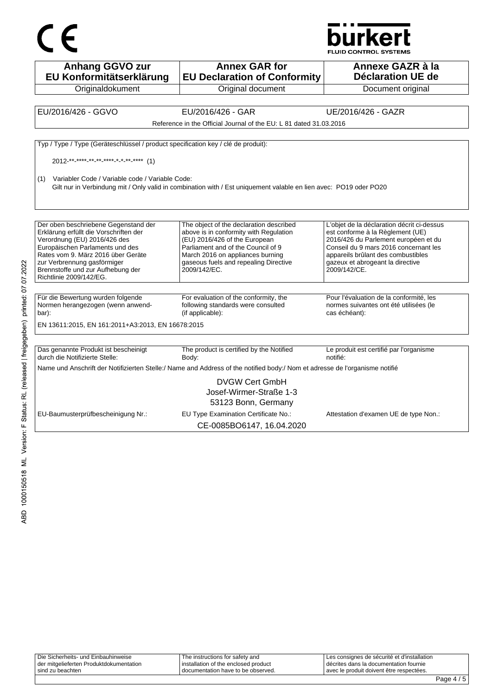



**Anhang GGVO zur EU Konformitätserklärung Originaldokument Annex GAR for EU Declaration of Conformity** Original document **Annexe GAZR à la Déclaration UE de**  Document original EU/2016/426 - GGVO EU/2016/426 - GAR UE/2016/426 - GAZR Reference in the Official Journal of the EU: L 81 dated 31.03.2016 Typ / Type / Type (Geräteschlüssel / product specification key / clé de produit):  $2012^{-**}$  \*\*\*\*\*\_\*\*\_\*\*\*\_\*\*\*\*\_\*\_\*\*\*\_\*\*\*\* (1) (1) Variabler Code / Variable code / Variable Code: Gilt nur in Verbindung mit / Only valid in combination with / Est uniquement valable en lien avec: PO19 oder PO20 Der oben beschriebene Gegenstand der Erklärung erfüllt die Vorschriften der Verordnung (EU) 2016/426 des Europäischen Parlaments und des Rates vom 9. März 2016 über Geräte zur Verbrennung gasförmiger Brennstoffe und zur Aufhebung der Richtlinie 2009/142/EG. The object of the declaration described above is in conformity with Regulation (EU) 2016/426 of the European Parliament and of the Council of 9 March 2016 on appliances burning gaseous fuels and repealing Directive 2009/142/EC. L'objet de la déclaration décrit ci-dessus est conforme à la Règlement (UE) 2016/426 du Parlement européen et du Conseil du 9 mars 2016 concernant les appareils brûlant des combustibles gazeux et abrogeant la directive 2009/142/CE. Für die Bewertung wurden folgende Normen herangezogen (wenn anwendbar): For evaluation of the conformity, the following standards were consulted (if applicable): Pour l'évaluation de la conformité, les normes suivantes ont été utilisées (le cas échéant): EN 13611:2015, EN 161:2011+A3:2013, EN 16678:2015 Das genannte Produkt ist bescheinigt durch die Notifizierte Stelle: The product is certified by the Notified Body: Le produit est certifié par l'organisme notifié: Name und Anschrift der Notifizierten Stelle:/ Name and Address of the notified body:/ Nom et adresse de l'organisme notifié DVGW Cert GmbH Josef-Wirmer-Straße 1-3 53123 Bonn, Germany EU-Baumusterprüfbescheinigung Nr.: EU Type Examination Certificate No.: Attestation d'examen UE de type Non.: CE-0085BO6147, 16.04.2020

|                                         |                                        | -                                           |
|-----------------------------------------|----------------------------------------|---------------------------------------------|
| sind zu beachten                        | I documentation have to be observed.   | avec le produit doivent être respectées.    |
| der mitgelieferten Produktdokumentation | I installation of the enclosed product | l décrites dans la documentation fournie    |
| Die Sicherheits- und Einbauhinweise     | e instructions for safety and          | Les consignes de sécurité et d'installation |